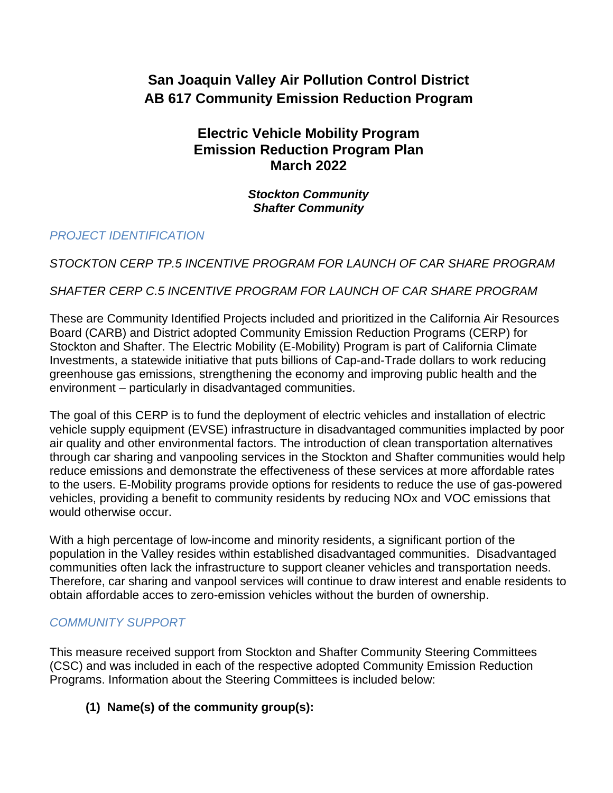# **San Joaquin Valley Air Pollution Control District AB 617 Community Emission Reduction Program**

# **Electric Vehicle Mobility Program Emission Reduction Program Plan March 2022**

*Stockton Community Shafter Community*

## *PROJECT IDENTIFICATION*

## *STOCKTON CERP TP.5 INCENTIVE PROGRAM FOR LAUNCH OF CAR SHARE PROGRAM*

## *SHAFTER CERP C.5 INCENTIVE PROGRAM FOR LAUNCH OF CAR SHARE PROGRAM*

These are Community Identified Projects included and prioritized in the California Air Resources Board (CARB) and District adopted Community Emission Reduction Programs (CERP) for Stockton and Shafter. The Electric Mobility (E-Mobility) Program is part of California Climate Investments, a statewide initiative that puts billions of Cap-and-Trade dollars to work reducing greenhouse gas emissions, strengthening the economy and improving public health and the environment – particularly in disadvantaged communities.

The goal of this CERP is to fund the deployment of electric vehicles and installation of electric vehicle supply equipment (EVSE) infrastructure in disadvantaged communities implacted by poor air quality and other environmental factors. The introduction of clean transportation alternatives through car sharing and vanpooling services in the Stockton and Shafter communities would help reduce emissions and demonstrate the effectiveness of these services at more affordable rates to the users. E-Mobility programs provide options for residents to reduce the use of gas-powered vehicles, providing a benefit to community residents by reducing NOx and VOC emissions that would otherwise occur.

With a high percentage of low-income and minority residents, a significant portion of the population in the Valley resides within established disadvantaged communities. Disadvantaged communities often lack the infrastructure to support cleaner vehicles and transportation needs. Therefore, car sharing and vanpool services will continue to draw interest and enable residents to obtain affordable acces to zero-emission vehicles without the burden of ownership.

# *COMMUNITY SUPPORT*

This measure received support from Stockton and Shafter Community Steering Committees (CSC) and was included in each of the respective adopted Community Emission Reduction Programs. Information about the Steering Committees is included below:

# **(1) Name(s) of the community group(s):**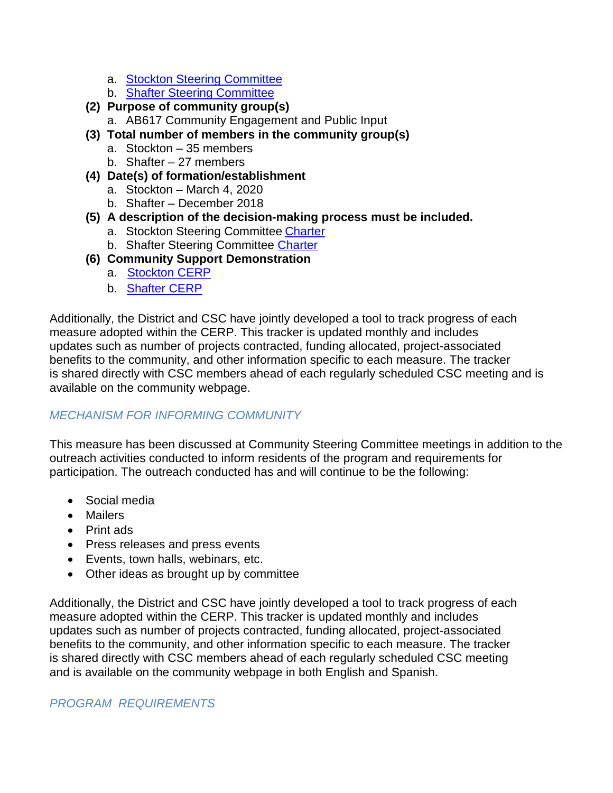- a. Stockton [Steering Committee](https://sjvapcd.maps.arcgis.com/apps/webappviewer/index.html?id=0fce98b09bc04404bb0e9a48fdbf683b)
- b. [Shafter Steering Committee](https://sjvapcd.maps.arcgis.com/apps/webappviewer3d/index.html?id=ce2faca8d98544f8bff2628f7d2aa8a3)
- **(2) Purpose of community group(s)**
	- a. AB617 Community Engagement and Public Input
- **(3) Total number of members in the community group(s)**
	- a. Stockton 35 members
	- b. Shafter 27 members
- **(4) Date(s) of formation/establishment**
	- a. Stockton March 4, 2020
	- b. Shafter December 2018
- **(5) A description of the decision-making process must be included.** 
	- a. Stockton Steering Committee [Charter](https://community.valleyair.org/media/2862/updated-stockton-charter-842021.pdf)
	- b. Shafter Steering Committee [Charter](https://community.valleyair.org/media/1086/finalshaftersteeringcommitteecharter.pdf)
- **(6) Community Support Demonstration**
	- a. [Stockton](https://community.valleyair.org/media/2487/final-stockton-cerp-no-appendix-with-cover.pdf) CERP
	- b. [Shafter](https://community.valleyair.org/media/1515/01-finalshaftercerp-9-19-19.pdf) CERP

Additionally, the District and CSC have jointly developed a tool to track progress of each measure adopted within the CERP. This tracker is updated monthly and includes updates such as number of projects contracted, funding allocated, project-associated benefits to the community, and other information specific to each measure. The tracker is shared directly with CSC members ahead of each regularly scheduled CSC meeting and is available on the community webpage.

### *MECHANISM FOR INFORMING COMMUNITY*

This measure has been discussed at Community Steering Committee meetings in addition to the outreach activities conducted to inform residents of the program and requirements for participation. The outreach conducted has and will continue to be the following:

- Social media
- Mailers
- Print ads
- Press releases and press events
- Events, town halls, webinars, etc.
- Other ideas as brought up by committee

Additionally, the District and CSC have jointly developed a tool to track progress of each measure adopted within the CERP. This tracker is updated monthly and includes updates such as number of projects contracted, funding allocated, project-associated benefits to the community, and other information specific to each measure. The tracker is shared directly with CSC members ahead of each regularly scheduled CSC meeting and is available on the community webpage in both English and Spanish.

#### *PROGRAM REQUIREMENTS*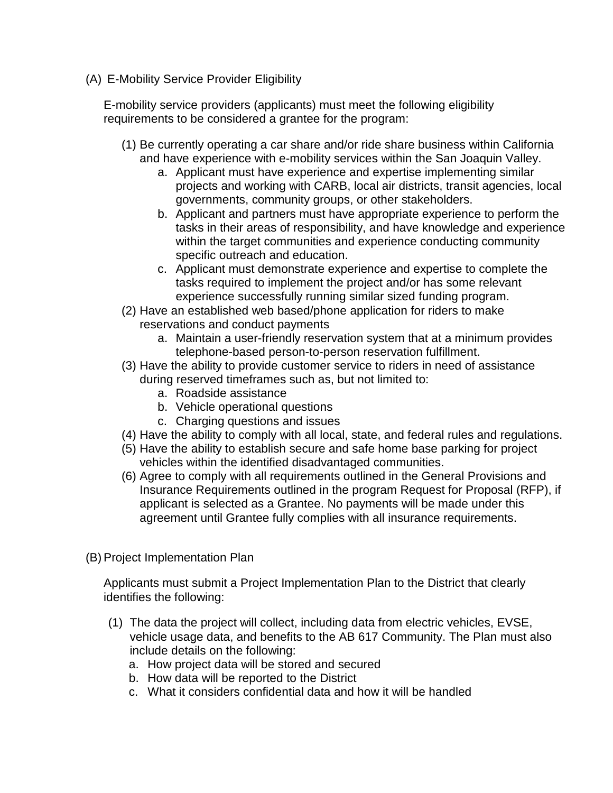(A) E-Mobility Service Provider Eligibility

E-mobility service providers (applicants) must meet the following eligibility requirements to be considered a grantee for the program:

- (1) Be currently operating a car share and/or ride share business within California and have experience with e-mobility services within the San Joaquin Valley.
	- a. Applicant must have experience and expertise implementing similar projects and working with CARB, local air districts, transit agencies, local governments, community groups, or other stakeholders.
	- b. Applicant and partners must have appropriate experience to perform the tasks in their areas of responsibility, and have knowledge and experience within the target communities and experience conducting community specific outreach and education.
	- c. Applicant must demonstrate experience and expertise to complete the tasks required to implement the project and/or has some relevant experience successfully running similar sized funding program.
- (2) Have an established web based/phone application for riders to make reservations and conduct payments
	- a. Maintain a user-friendly reservation system that at a minimum provides telephone-based person-to-person reservation fulfillment.
- (3) Have the ability to provide customer service to riders in need of assistance during reserved timeframes such as, but not limited to:
	- a. Roadside assistance
	- b. Vehicle operational questions
	- c. Charging questions and issues
- (4) Have the ability to comply with all local, state, and federal rules and regulations.
- (5) Have the ability to establish secure and safe home base parking for project vehicles within the identified disadvantaged communities.
- (6) Agree to comply with all requirements outlined in the General Provisions and Insurance Requirements outlined in the program Request for Proposal (RFP), if applicant is selected as a Grantee. No payments will be made under this agreement until Grantee fully complies with all insurance requirements.
- (B) Project Implementation Plan

Applicants must submit a Project Implementation Plan to the District that clearly identifies the following:

- (1) The data the project will collect, including data from electric vehicles, EVSE, vehicle usage data, and benefits to the AB 617 Community. The Plan must also include details on the following:
	- a. How project data will be stored and secured
	- b. How data will be reported to the District
	- c. What it considers confidential data and how it will be handled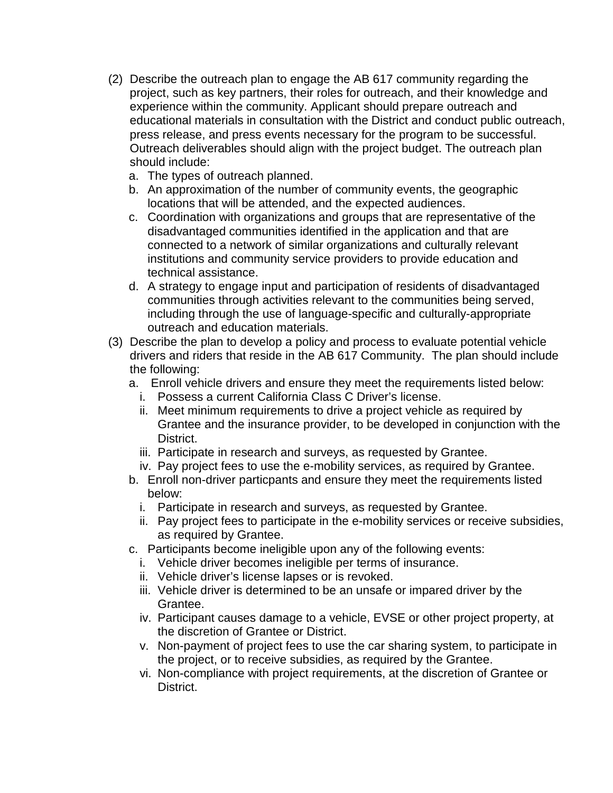- (2) Describe the outreach plan to engage the AB 617 community regarding the project, such as key partners, their roles for outreach, and their knowledge and experience within the community. Applicant should prepare outreach and educational materials in consultation with the District and conduct public outreach, press release, and press events necessary for the program to be successful. Outreach deliverables should align with the project budget. The outreach plan should include:
	- a. The types of outreach planned.
	- b. An approximation of the number of community events, the geographic locations that will be attended, and the expected audiences.
	- c. Coordination with organizations and groups that are representative of the disadvantaged communities identified in the application and that are connected to a network of similar organizations and culturally relevant institutions and community service providers to provide education and technical assistance.
	- d. A strategy to engage input and participation of residents of disadvantaged communities through activities relevant to the communities being served, including through the use of language-specific and culturally-appropriate outreach and education materials.
- (3) Describe the plan to develop a policy and process to evaluate potential vehicle drivers and riders that reside in the AB 617 Community. The plan should include the following:
	- a. Enroll vehicle drivers and ensure they meet the requirements listed below:
		- i. Possess a current California Class C Driver's license.
		- ii. Meet minimum requirements to drive a project vehicle as required by Grantee and the insurance provider, to be developed in conjunction with the District.
		- iii. Participate in research and surveys, as requested by Grantee.
		- iv. Pay project fees to use the e-mobility services, as required by Grantee.
	- b. Enroll non-driver particpants and ensure they meet the requirements listed below:
		- i. Participate in research and surveys, as requested by Grantee.
		- ii. Pay project fees to participate in the e-mobility services or receive subsidies, as required by Grantee.
	- c. Participants become ineligible upon any of the following events:
		- i. Vehicle driver becomes ineligible per terms of insurance.
		- ii. Vehicle driver's license lapses or is revoked.
		- iii. Vehicle driver is determined to be an unsafe or impared driver by the Grantee.
		- iv. Participant causes damage to a vehicle, EVSE or other project property, at the discretion of Grantee or District.
		- v. Non-payment of project fees to use the car sharing system, to participate in the project, or to receive subsidies, as required by the Grantee.
		- vi. Non-compliance with project requirements, at the discretion of Grantee or District.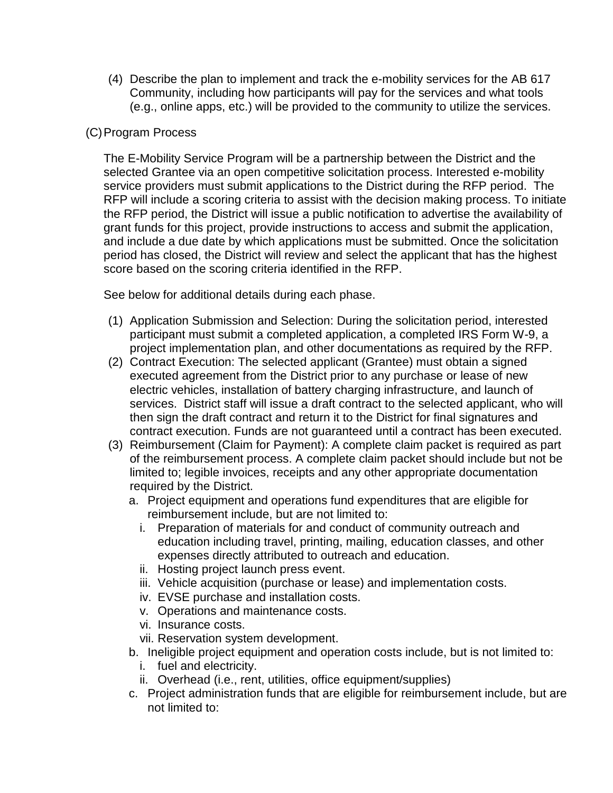(4) Describe the plan to implement and track the e-mobility services for the AB 617 Community, including how participants will pay for the services and what tools (e.g., online apps, etc.) will be provided to the community to utilize the services.

#### (C)Program Process

The E-Mobility Service Program will be a partnership between the District and the selected Grantee via an open competitive solicitation process. Interested e-mobility service providers must submit applications to the District during the RFP period. The RFP will include a scoring criteria to assist with the decision making process. To initiate the RFP period, the District will issue a public notification to advertise the availability of grant funds for this project, provide instructions to access and submit the application, and include a due date by which applications must be submitted. Once the solicitation period has closed, the District will review and select the applicant that has the highest score based on the scoring criteria identified in the RFP.

See below for additional details during each phase.

- (1) Application Submission and Selection: During the solicitation period, interested participant must submit a completed application, a completed IRS Form W-9, a project implementation plan, and other documentations as required by the RFP.
- (2) Contract Execution: The selected applicant (Grantee) must obtain a signed executed agreement from the District prior to any purchase or lease of new electric vehicles, installation of battery charging infrastructure, and launch of services. District staff will issue a draft contract to the selected applicant, who will then sign the draft contract and return it to the District for final signatures and contract execution. Funds are not guaranteed until a contract has been executed.
- (3) Reimbursement (Claim for Payment): A complete claim packet is required as part of the reimbursement process. A complete claim packet should include but not be limited to; legible invoices, receipts and any other appropriate documentation required by the District.
	- a. Project equipment and operations fund expenditures that are eligible for reimbursement include, but are not limited to:
		- i. Preparation of materials for and conduct of community outreach and education including travel, printing, mailing, education classes, and other expenses directly attributed to outreach and education.
		- ii. Hosting project launch press event.
		- iii. Vehicle acquisition (purchase or lease) and implementation costs.
		- iv. EVSE purchase and installation costs.
		- v. Operations and maintenance costs.
		- vi. Insurance costs.
		- vii. Reservation system development.
	- b. Ineligible project equipment and operation costs include, but is not limited to:
		- i. fuel and electricity.
		- ii. Overhead (i.e., rent, utilities, office equipment/supplies)
	- c. Project administration funds that are eligible for reimbursement include, but are not limited to: